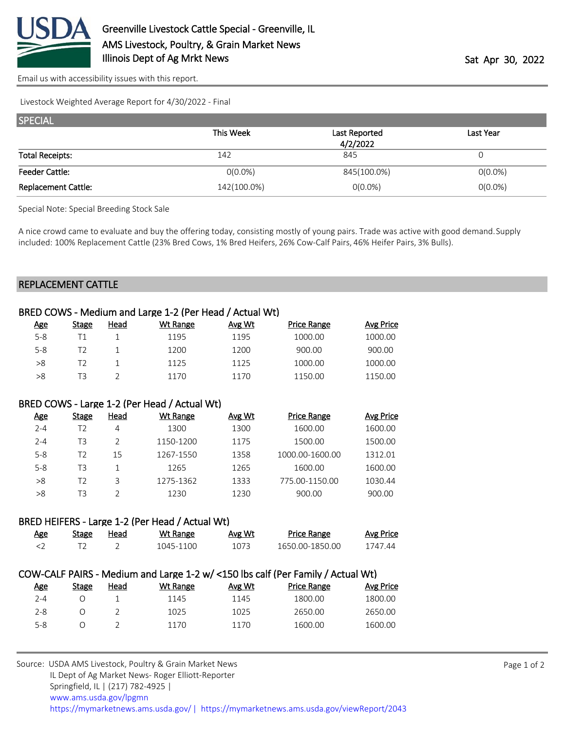

[Email us with accessibility issues with this report.](mailto:mars@ams.usda.gov?subject=508%20issue)

Livestock Weighted Average Report for 4/30/2022 - Final

| <b>SPECIAL</b>             |             |                           |            |  |  |  |  |
|----------------------------|-------------|---------------------------|------------|--|--|--|--|
|                            | This Week   | Last Reported<br>4/2/2022 | Last Year  |  |  |  |  |
|                            |             |                           |            |  |  |  |  |
| <b>Total Receipts:</b>     | 142         | 845                       |            |  |  |  |  |
| <b>Feeder Cattle:</b>      | $O(0.0\%)$  | 845(100.0%)               | $O(0.0\%)$ |  |  |  |  |
| <b>Replacement Cattle:</b> | 142(100.0%) | $0(0.0\%)$                | $0(0.0\%)$ |  |  |  |  |

Special Note: Special Breeding Stock Sale

A nice crowd came to evaluate and buy the offering today, consisting mostly of young pairs. Trade was active with good demand. Supply included: 100% Replacement Cattle (23% Bred Cows, 1% Bred Heifers, 26% Cow-Calf Pairs, 46% Heifer Pairs, 3% Bulls).

## REPLACEMENT CATTLE

| BRED COWS - Medium and Large 1-2 (Per Head / Actual Wt)                           |                |                |                 |        |                    |                  |  |  |
|-----------------------------------------------------------------------------------|----------------|----------------|-----------------|--------|--------------------|------------------|--|--|
| <u>Age</u>                                                                        | <b>Stage</b>   | <b>Head</b>    | <b>Wt Range</b> | Avg Wt | <b>Price Range</b> | <b>Avg Price</b> |  |  |
| $5-8$                                                                             | T1             | 1              | 1195            | 1195   | 1000.00            | 1000.00          |  |  |
| $5 - 8$                                                                           | T <sub>2</sub> | 1              | 1200            | 1200   | 900.00             | 900.00           |  |  |
| >8                                                                                | T <sub>2</sub> | 1              | 1125            | 1125   | 1000.00            | 1000.00          |  |  |
| >8                                                                                | T <sub>3</sub> | $\overline{2}$ | 1170            | 1170   | 1150.00            | 1150.00          |  |  |
| BRED COWS - Large 1-2 (Per Head / Actual Wt)                                      |                |                |                 |        |                    |                  |  |  |
| <u>Age</u>                                                                        | Stage          | <b>Head</b>    | <b>Wt Range</b> | Avg Wt | <b>Price Range</b> | <b>Avg Price</b> |  |  |
| $2 - 4$                                                                           | T <sub>2</sub> | 4              | 1300            | 1300   | 1600.00            | 1600.00          |  |  |
| $2 - 4$                                                                           | T <sub>3</sub> | $\mathfrak{D}$ | 1150-1200       | 1175   | 1500.00            | 1500.00          |  |  |
| $5 - 8$                                                                           | T <sub>2</sub> | 15             | 1267-1550       | 1358   | 1000.00-1600.00    | 1312.01          |  |  |
| $5 - 8$                                                                           | T <sub>3</sub> | 1              | 1265            | 1265   | 1600.00            | 1600.00          |  |  |
| >8                                                                                | T <sub>2</sub> | 3              | 1275-1362       | 1333   | 775.00-1150.00     | 1030.44          |  |  |
| >8                                                                                | T <sub>3</sub> | $\overline{2}$ | 1230            | 1230   | 900.00             | 900.00           |  |  |
| BRED HEIFERS - Large 1-2 (Per Head / Actual Wt)                                   |                |                |                 |        |                    |                  |  |  |
| <u>Age</u>                                                                        | <u>Stage</u>   | <u>Head</u>    | <b>Wt Range</b> | Avg Wt | <b>Price Range</b> | <b>Avg Price</b> |  |  |
| <                                                                                 | T <sub>2</sub> | $\overline{2}$ | 1045-1100       | 1073   | 1650.00-1850.00    | 1747.44          |  |  |
| $COMCALDALD. M.$ Modium and Large 1.2 $M/2150$ lbs calf (Der Family / Actual M/t) |                |                |                 |        |                    |                  |  |  |

## COW-CALF PAIRS - Medium and Large 1-2 w/ <150 lbs calf (Per Family / Actual Wt)

| <u>Age</u> | Stage | Head | Wt Range | Avg Wt | <b>Price Range</b> | <b>Avg Price</b> |
|------------|-------|------|----------|--------|--------------------|------------------|
| 2-4        |       |      | 1145     | 1145   | 1800.00            | 1800.00          |
| $2 - 8$    |       |      | 1025     | 1025   | 2650.00            | 2650.00          |
| $5-8$      |       |      | 1170     | 1170   | 1600.00            | 1600.00          |